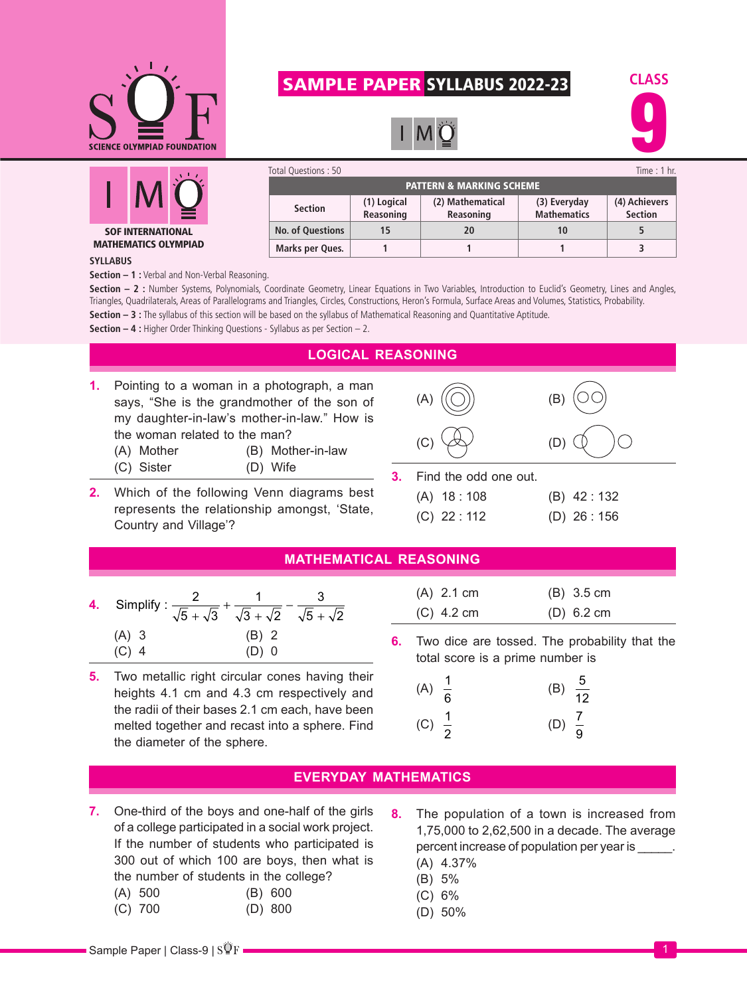

# SAMPLE PAPER SYLLABUS 2022-23







#### SOF INTERNATIONAL MATHEMATICS OLYMPIAD

#### PATTERN & MARKING SCHEME **Section (1) Logical Reasoning (2) Mathematical Reasoning (3) Everyday Mathematics (4) Achievers Section No. of Questions 15 20 10 5** Total Questions : 50 Time : 1 hr. The state of the state of the state of the state of the state of the state of the state of the state of the state of the state of the state of the state of the state of the state of the st

**Marks per Ques. 1 1 1 3**

#### **SYLLABUS**

**Section – 1 :** Verbal and Non-Verbal Reasoning.

Section - 2 : Number Systems, Polynomials, Coordinate Geometry, Linear Equations in Two Variables, Introduction to Euclid's Geometry, Lines and Angles, Triangles, Quadrilaterals, Areas of Parallelograms and Triangles, Circles, Constructions, Heron's Formula, Surface Areas and Volumes, Statistics, Probability. **Section – 3 :** The syllabus of this section will be based on the syllabus of Mathematical Reasoning and Quantitative Aptitude.

**Section – 4 :** Higher Order Thinking Questions - Syllabus as per Section – 2.

|          | <b>LOGICAL REASONING</b>                                                                                                                                                                                                                                                                                                                                     |    |                                                                            |                                                                             |  |  |  |  |  |
|----------|--------------------------------------------------------------------------------------------------------------------------------------------------------------------------------------------------------------------------------------------------------------------------------------------------------------------------------------------------------------|----|----------------------------------------------------------------------------|-----------------------------------------------------------------------------|--|--|--|--|--|
| 1.<br>2. | Pointing to a woman in a photograph, a man<br>says, "She is the grandmother of the son of<br>my daughter-in-law's mother-in-law." How is<br>the woman related to the man?<br>(A) Mother<br>(B) Mother-in-law<br>(C) Sister<br>(D) Wife<br>Which of the following Venn diagrams best<br>represents the relationship amongst, 'State,<br>Country and Village'? | З. | (A)<br>(C)<br>Find the odd one out.<br>$(A)$ 18:108<br>$(C)$ 22 : 112      | (B)<br>(D)<br>$(B)$ 42 : 132<br>$(D)$ 26 : 156                              |  |  |  |  |  |
|          | <b>MATHEMATICAL REASONING</b>                                                                                                                                                                                                                                                                                                                                |    |                                                                            |                                                                             |  |  |  |  |  |
|          | Simplify : $\frac{2}{\sqrt{5} + \sqrt{3}} + \frac{1}{\sqrt{3} + \sqrt{2}} - \frac{3}{\sqrt{5} + \sqrt{2}}$<br>$(A)$ 3<br>$(B)$ 2                                                                                                                                                                                                                             | 6. | $(A)$ 2.1 cm<br>$(C)$ 4.2 cm                                               | $(B)$ 3.5 cm<br>(D) 6.2 cm<br>Two dice are tossed. The probability that the |  |  |  |  |  |
| 5.       | $(C)$ 4<br>$(D)$ 0<br>Two metallic right circular cones having their<br>heights 4.1 cm and 4.3 cm respectively and<br>the radii of their bases 2.1 cm each, have been<br>melted together and recast into a sphere. Find<br>the diameter of the sphere.                                                                                                       |    | total score is a prime number is<br>(A) $\frac{1}{6}$<br>(C) $\frac{1}{2}$ | (B) $\frac{5}{12}$<br>(D) $\frac{7}{9}$                                     |  |  |  |  |  |
|          | <b>EVERYDAY MATHEMATICS</b>                                                                                                                                                                                                                                                                                                                                  |    |                                                                            |                                                                             |  |  |  |  |  |

- **7.** One-third of the boys and one-half of the girls of a college participated in a social work project. If the number of students who participated is 300 out of which 100 are boys, then what is the number of students in the college?
	- (A) 500 (B) 600
	- (C) 700 (D) 800
- **8.** The population of a town is increased from 1,75,000 to 2,62,500 in a decade. The average percent increase of population per year is \_\_\_\_\_.
	- (A) 4.37%
	- (B) 5%
	- (C) 6%
	- (D) 50%